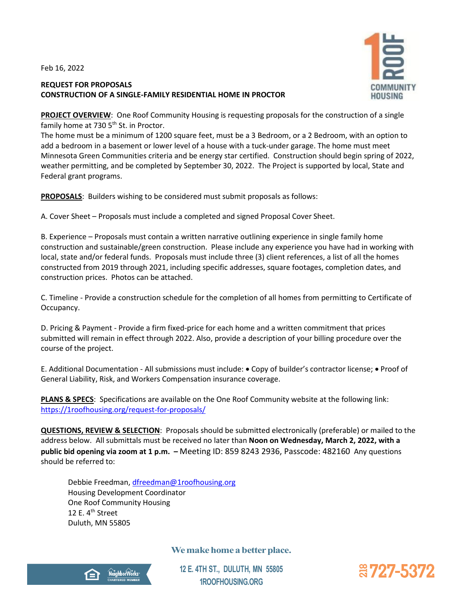Feb 16, 2022

## **REQUEST FOR PROPOSALS CONSTRUCTION OF A SINGLE-FAMILY RESIDENTIAL HOME IN PROCTOR**



**PROJECT OVERVIEW:** One Roof Community Housing is requesting proposals for the construction of a single family home at 730 5<sup>th</sup> St. in Proctor.

The home must be a minimum of 1200 square feet, must be a 3 Bedroom, or a 2 Bedroom, with an option to add a bedroom in a basement or lower level of a house with a tuck-under garage. The home must meet Minnesota Green Communities criteria and be energy star certified. Construction should begin spring of 2022, weather permitting, and be completed by September 30, 2022. The Project is supported by local, State and Federal grant programs.

**PROPOSALS**: Builders wishing to be considered must submit proposals as follows:

A. Cover Sheet – Proposals must include a completed and signed Proposal Cover Sheet.

B. Experience – Proposals must contain a written narrative outlining experience in single family home construction and sustainable/green construction. Please include any experience you have had in working with local, state and/or federal funds. Proposals must include three (3) client references, a list of all the homes constructed from 2019 through 2021, including specific addresses, square footages, completion dates, and construction prices. Photos can be attached.

C. Timeline - Provide a construction schedule for the completion of all homes from permitting to Certificate of Occupancy.

D. Pricing & Payment - Provide a firm fixed-price for each home and a written commitment that prices submitted will remain in effect through 2022. Also, provide a description of your billing procedure over the course of the project.

E. Additional Documentation - All submissions must include: • Copy of builder's contractor license; • Proof of General Liability, Risk, and Workers Compensation insurance coverage.

**PLANS & SPECS**: Specifications are available on the One Roof Community website at the following link: <https://1roofhousing.org/request-for-proposals/>

**QUESTIONS, REVIEW & SELECTION**: Proposals should be submitted electronically (preferable) or mailed to the address below. All submittals must be received no later than **Noon on Wednesday, March 2, 2022, with a public bid opening via zoom at 1 p.m. –** Meeting ID: 859 8243 2936, Passcode: 482160Any questions should be referred to:

Debbie Freedman, [dfreedman@1roofhousing.org](mailto:dfreedman@1roofhousing.org) Housing Development Coordinator One Roof Community Housing 12 E.  $4^{\text{th}}$  Street Duluth, MN 55805

**We make home a better place.**



**12 E. 4TH ST., DULUTH, MN 55805 1ROOFHOUSING.ORG**

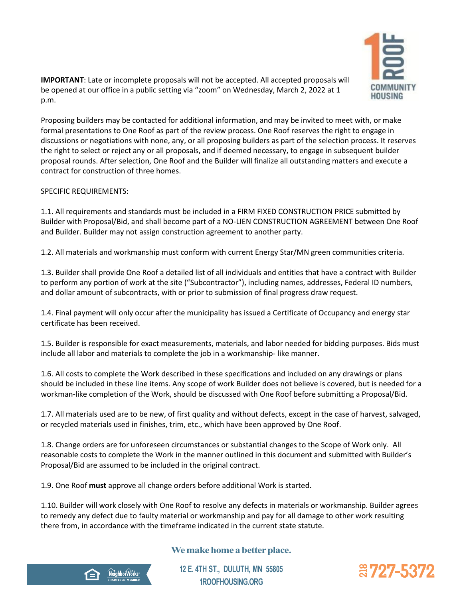

**IMPORTANT**: Late or incomplete proposals will not be accepted. All accepted proposals will be opened at our office in a public setting via "zoom" on Wednesday, March 2, 2022 at 1 p.m.

Proposing builders may be contacted for additional information, and may be invited to meet with, or make formal presentations to One Roof as part of the review process. One Roof reserves the right to engage in discussions or negotiations with none, any, or all proposing builders as part of the selection process. It reserves the right to select or reject any or all proposals, and if deemed necessary, to engage in subsequent builder proposal rounds. After selection, One Roof and the Builder will finalize all outstanding matters and execute a contract for construction of three homes.

#### SPECIFIC REQUIREMENTS:

1.1. All requirements and standards must be included in a FIRM FIXED CONSTRUCTION PRICE submitted by Builder with Proposal/Bid, and shall become part of a NO-LIEN CONSTRUCTION AGREEMENT between One Roof and Builder. Builder may not assign construction agreement to another party.

1.2. All materials and workmanship must conform with current Energy Star/MN green communities criteria.

1.3. Builder shall provide One Roof a detailed list of all individuals and entities that have a contract with Builder to perform any portion of work at the site ("Subcontractor"), including names, addresses, Federal ID numbers, and dollar amount of subcontracts, with or prior to submission of final progress draw request.

1.4. Final payment will only occur after the municipality has issued a Certificate of Occupancy and energy star certificate has been received.

1.5. Builder is responsible for exact measurements, materials, and labor needed for bidding purposes. Bids must include all labor and materials to complete the job in a workmanship- like manner.

1.6. All costs to complete the Work described in these specifications and included on any drawings or plans should be included in these line items. Any scope of work Builder does not believe is covered, but is needed for a workman-like completion of the Work, should be discussed with One Roof before submitting a Proposal/Bid.

1.7. All materials used are to be new, of first quality and without defects, except in the case of harvest, salvaged, or recycled materials used in finishes, trim, etc., which have been approved by One Roof.

1.8. Change orders are for unforeseen circumstances or substantial changes to the Scope of Work only. All reasonable costs to complete the Work in the manner outlined in this document and submitted with Builder's Proposal/Bid are assumed to be included in the original contract.

1.9. One Roof **must** approve all change orders before additional Work is started.

1.10. Builder will work closely with One Roof to resolve any defects in materials or workmanship. Builder agrees to remedy any defect due to faulty material or workmanship and pay for all damage to other work resulting there from, in accordance with the timeframe indicated in the current state statute.

# **We make home a better place.**

**12 E. 4TH ST., DULUTH, MN 55805 1ROOFHOUSING.ORG**



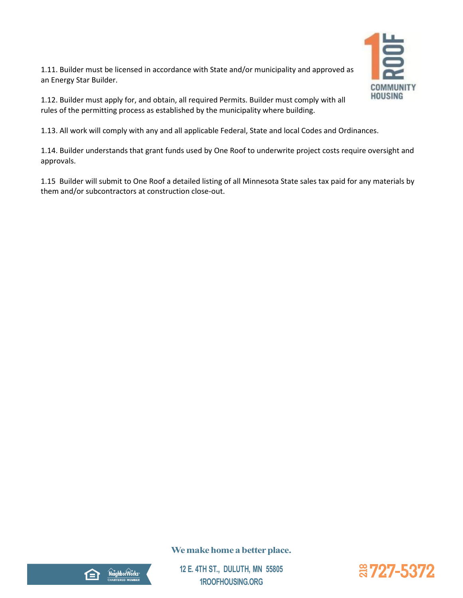

1.11. Builder must be licensed in accordance with State and/or municipality and approved as an Energy Star Builder.

1.12. Builder must apply for, and obtain, all required Permits. Builder must comply with all rules of the permitting process as established by the municipality where building.

1.13. All work will comply with any and all applicable Federal, State and local Codes and Ordinances.

1.14. Builder understands that grant funds used by One Roof to underwrite project costs require oversight and approvals.

1.15 Builder will submit to One Roof a detailed listing of all Minnesota State sales tax paid for any materials by them and/or subcontractors at construction close-out.

# **We make home a better place.**



**12 E. 4TH ST., DULUTH, MN 55805 1ROOFHOUSING.ORG**

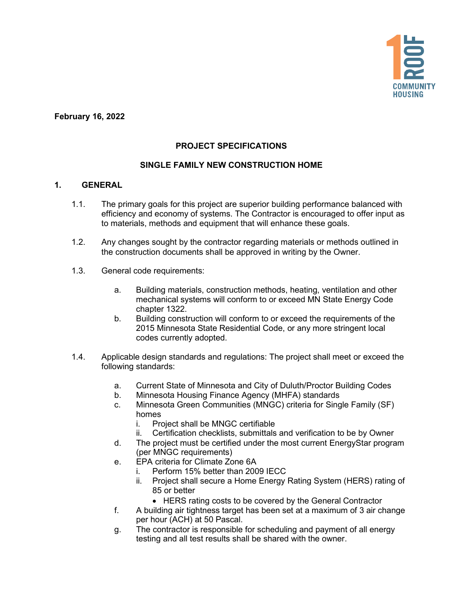

**February 16, 2022**

## **PROJECT SPECIFICATIONS**

### **SINGLE FAMILY NEW CONSTRUCTION HOME**

#### **1. GENERAL**

- 1.1. The primary goals for this project are superior building performance balanced with efficiency and economy of systems. The Contractor is encouraged to offer input as to materials, methods and equipment that will enhance these goals.
- 1.2. Any changes sought by the contractor regarding materials or methods outlined in the construction documents shall be approved in writing by the Owner.
- 1.3. General code requirements:
	- a. Building materials, construction methods, heating, ventilation and other mechanical systems will conform to or exceed MN State Energy Code chapter 1322.
	- b. Building construction will conform to or exceed the requirements of the 2015 Minnesota State Residential Code, or any more stringent local codes currently adopted.
- 1.4. Applicable design standards and regulations: The project shall meet or exceed the following standards:
	- a. Current State of Minnesota and City of Duluth/Proctor Building Codes
	- b. Minnesota Housing Finance Agency (MHFA) standards
	- c. Minnesota Green Communities (MNGC) criteria for Single Family (SF) homes
		- i. Project shall be MNGC certifiable
		- ii. Certification checklists, submittals and verification to be by Owner
	- d. The project must be certified under the most current EnergyStar program (per MNGC requirements)
	- e. EPA criteria for Climate Zone 6A
		- i. Perform 15% better than 2009 IECC
		- ii. Project shall secure a Home Energy Rating System (HERS) rating of 85 or better
			- HERS rating costs to be covered by the General Contractor
	- f. A building air tightness target has been set at a maximum of 3 air change per hour (ACH) at 50 Pascal.
	- g. The contractor is responsible for scheduling and payment of all energy testing and all test results shall be shared with the owner.